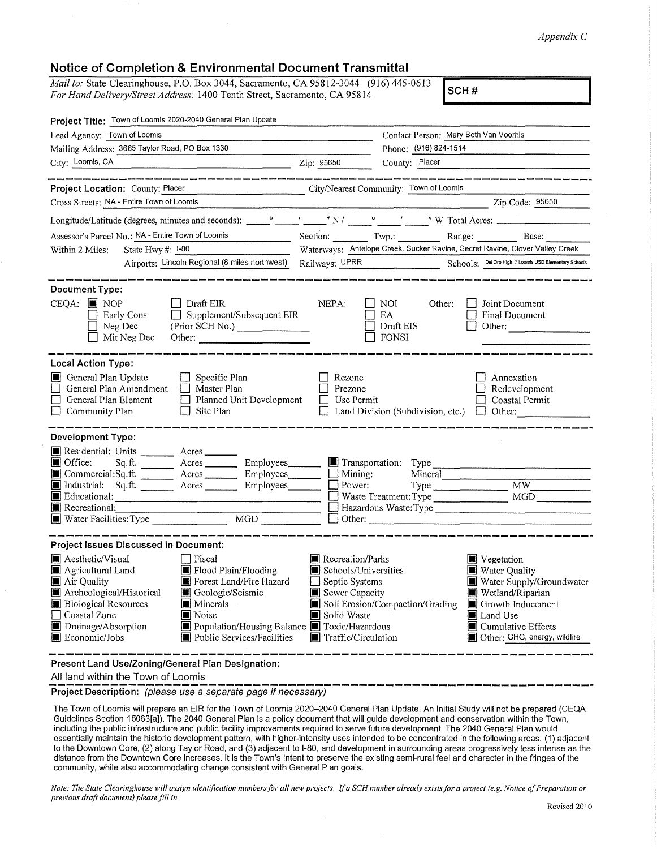## *Appendix C*

## **Notice of Completion & Environmental Document Transmittal**

*Mail to:* State Clearinghouse, P.O. Box 3044, Sacramento, CA 95812-3044 (916) 445-0613 *For Hand Delivery/Street Address:* 1400 Tenth Street, Sacramento, CA 95814 **SCH # SCH # SCH #** 

| Project Title: Town of Loomis 2020-2040 General Plan Update                                                                                                                                                                                                                                                                                                                                                                                      |                                                                                                                    |                                                                                                                                                                                                           |  |
|--------------------------------------------------------------------------------------------------------------------------------------------------------------------------------------------------------------------------------------------------------------------------------------------------------------------------------------------------------------------------------------------------------------------------------------------------|--------------------------------------------------------------------------------------------------------------------|-----------------------------------------------------------------------------------------------------------------------------------------------------------------------------------------------------------|--|
| Lead Agency: Town of Loomis                                                                                                                                                                                                                                                                                                                                                                                                                      |                                                                                                                    | Contact Person: Mary Beth Van Voorhis                                                                                                                                                                     |  |
| Mailing Address: 3665 Taylor Road, PO Box 1330                                                                                                                                                                                                                                                                                                                                                                                                   |                                                                                                                    | Phone: (916) 824-1514                                                                                                                                                                                     |  |
| City: Loomis, CA<br>$\frac{1}{2}$ $\frac{1}{2}$ $\frac{1}{2}$ $\frac{1}{2}$ $\frac{1}{2}$ $\frac{1}{2}$ $\frac{1}{2}$ $\frac{1}{2}$ $\frac{1}{2}$ $\frac{1}{2}$ $\frac{1}{2}$ $\frac{1}{2}$ $\frac{1}{2}$ $\frac{1}{2}$ $\frac{1}{2}$ $\frac{1}{2}$ $\frac{1}{2}$ $\frac{1}{2}$ $\frac{1}{2}$ $\frac{1}{2}$ $\frac{1}{2}$ $\frac{1}{2}$                                                                                                          |                                                                                                                    | County: Placer                                                                                                                                                                                            |  |
|                                                                                                                                                                                                                                                                                                                                                                                                                                                  |                                                                                                                    |                                                                                                                                                                                                           |  |
| City/Nearest Community: Town of Loomis<br>Project Location: County: Placer                                                                                                                                                                                                                                                                                                                                                                       |                                                                                                                    |                                                                                                                                                                                                           |  |
| Cross Streets: NA - Entire Town of Loomis                                                                                                                                                                                                                                                                                                                                                                                                        |                                                                                                                    | Zip Code: 95650                                                                                                                                                                                           |  |
|                                                                                                                                                                                                                                                                                                                                                                                                                                                  |                                                                                                                    |                                                                                                                                                                                                           |  |
| Assessor's Parcel No.: NA - Entire Town of Loomis<br><u>and the community of the community of the community of the community of the community of the community of the community of the community of the community of the community of the community of the community of the community</u>                                                                                                                                                        |                                                                                                                    | Section: Twp.: Range: Base:                                                                                                                                                                               |  |
| State Hwy #: 1-80<br>Within 2 Miles:                                                                                                                                                                                                                                                                                                                                                                                                             | Waterways: Antelope Creek, Sucker Ravine, Secret Ravine, Clover Valley Creek                                       |                                                                                                                                                                                                           |  |
| Airports: Lincoln Regional (8 miles northwest)                                                                                                                                                                                                                                                                                                                                                                                                   |                                                                                                                    | Railways: UPRR Schools: Del Oro High, 7 Loomis USD Elementary Schools                                                                                                                                     |  |
| <b>Document Type:</b><br>$CEQA:$ MOP<br>Draft EIR<br>Supplement/Subsequent EIR<br>Early Cons<br>Neg Dec<br>(Prior SCH No.)<br>$\Box$ Mit Neg Dec<br>Other:                                                                                                                                                                                                                                                                                       | NEPA:                                                                                                              | $\blacksquare$ NOI<br>Other:<br>Joint Document<br>EA<br>$\Box$ Final Document<br>Draft EIS<br>Other:<br>    FONSI                                                                                         |  |
| <b>Local Action Type:</b><br>General Plan Update<br>$\Box$ Specific Plan<br>General Plan Amendment<br>$\Box$ Master Plan<br>General Plan Element<br>Planned Unit Development<br>$\Box$ Site Plan<br>Community Plan                                                                                                                                                                                                                               | Rezone<br>Prezone<br>  Use Permit                                                                                  | Annexation<br>Redevelopment<br>Coastal Permit<br>$\Box$ Land Division (Subdivision, etc.) $\Box$<br>Other:                                                                                                |  |
| <b>Development Type:</b><br>Residential: Units _______ Acres_<br>Office: Sq.ft. _______ Acres ________ Employees_______<br>Commercial:Sq.ft. Acres Employees Mining:<br>Industrial: Sq.ft. ________ Acres ________ Employees_______<br>$\blacksquare$ Educational:                                                                                                                                                                               | $\Box$ Power:<br>$\Box$ Other:                                                                                     | Transportation: Type<br>Mineral<br>MW<br>Hazardous Waste: Type                                                                                                                                            |  |
| Project Issues Discussed in Document:<br>Aesthetic/Visual<br>$\Box$ Fiscal<br>Flood Plain/Flooding<br>Agricultural Land<br>Air Quality<br>Forest Land/Fire Hazard<br>Archeological/Historical<br>Geologic/Seismic<br><b>Biological Resources</b><br><b>I</b> Minerals<br>Coastal Zone<br>$\blacksquare$ Noise<br>Drainage/Absorption<br>Population/Housing Balance Toxic/Hazardous<br>$\blacksquare$ Economic/Jobs<br>Public Services/Facilities | Recreation/Parks<br>Schools/Universities<br>Septic Systems<br>Sewer Capacity<br>Solid Waste<br>Traffic/Circulation | ■ Vegetation<br>Water Quality<br>Water Supply/Groundwater<br>Wetland/Riparian<br>Soil Erosion/Compaction/Grading<br>Growth Inducement<br>Land Use<br>■ Cumulative Effects<br>Other: GHG, energy, wildfire |  |

**Present Land Use/Zoning/General Plan Designation:** 

All land within the Town of Loomis

**Project Description:** (please use a separate page if necessary)

The Town of Loomis will prepare an EIR for the Town of Loomis 2020-2040 General Plan Update. An Initial Study will not be prepared (CEQA Guidelines Section 15063[al). The 2040 General Plan is a policy document that will guide development and conservation within the Town, including the public infrastructure and public facility improvements required to serve future development. The 2040 General Plan would essentially maintain the historic development pattern, with higher-intensity uses intended to be concentrated in the following areas: (1) adjacent to the Downtown Core, (2) along Taylor Road, and (3) adjacent to 1-80, and development in surrounding areas progressively less intense as the distance from the Downtown Core increases. It is the Town's intent to preserve the existing semi-rural feel and character in the fringes of the community, while also accommodating change consistent with General Plan goals.

*Note: The State Clearinghouse will assign identification numbers for all new projects. If a SCH number already exists for a project (e.g. Notice of Preparation or previous drqfi document) please fill in.*